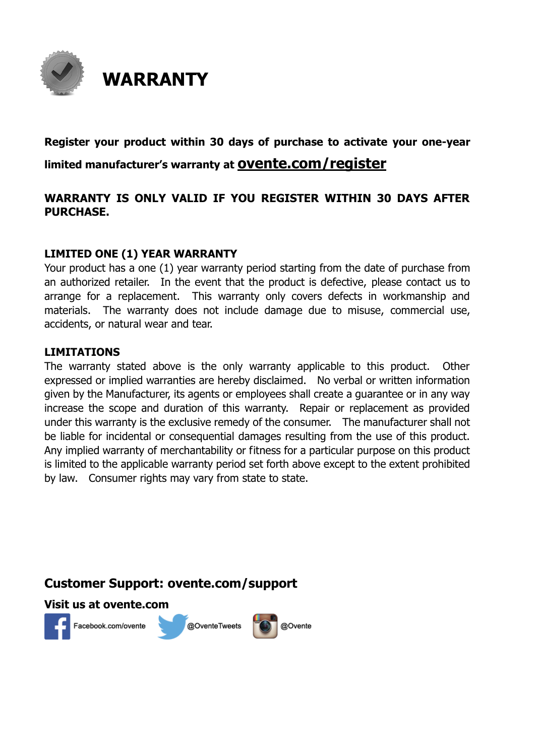

### **Register your product within 30 days of purchase to activate your one-year limited manufacturer's warranty at ovente.com/register**

### **WARRANTY IS ONLY VALID IF YOU REGISTER WITHIN 30 DAYS AFTER PURCHASE.**

#### **LIMITED ONE (1) YEAR WARRANTY**

Your product has a one (1) year warranty period starting from the date of purchase from an authorized retailer. In the event that the product is defective, please contact us to arrange for a replacement. This warranty only covers defects in workmanship and materials. The warranty does not include damage due to misuse, commercial use, accidents, or natural wear and tear.

#### **LIMITATIONS**

The warranty stated above is the only warranty applicable to this product. Other expressed or implied warranties are hereby disclaimed. No verbal or written information given by the Manufacturer, its agents or employees shall create a guarantee or in any way increase the scope and duration of this warranty. Repair or replacement as provided under this warranty is the exclusive remedy of the consumer. The manufacturer shall not be liable for incidental or consequential damages resulting from the use of this product. Any implied warranty of merchantability or fitness for a particular purpose on this product is limited to the applicable warranty period set forth above except to the extent prohibited by law. Consumer rights may vary from state to state.

### **Customer Support: ovente.com/support**

#### **Visit us at ovente.com**



Facebook.com/ovente



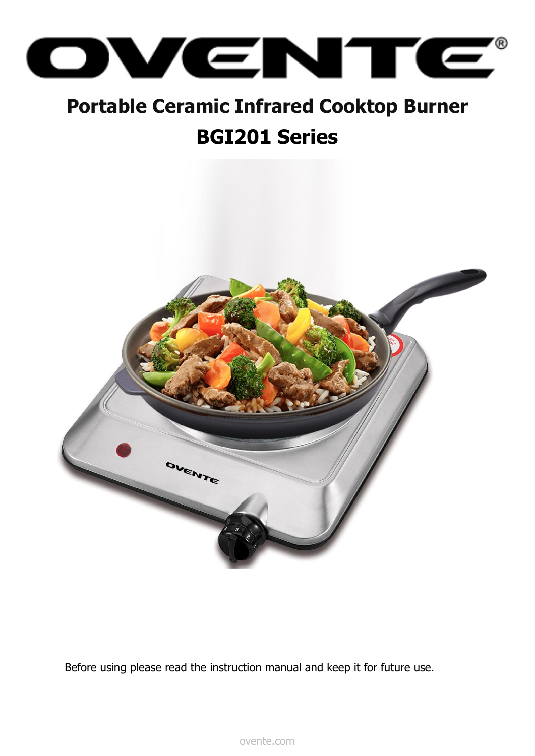

### **Portable Ceramic Infrared Cooktop Burner BGI201 Series**



Before using please read the instruction manual and keep it for future use.

ovente.com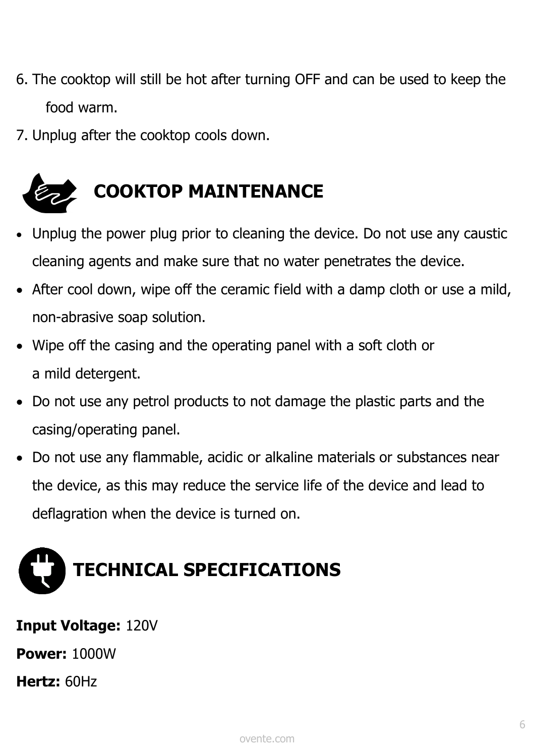- 6. The cooktop will still be hot after turning OFF and can be used to keep the food warm.
- 7. Unplug after the cooktop cools down.



- Unplug the power plug prior to cleaning the device. Do not use any caustic cleaning agents and make sure that no water penetrates the device.
- After cool down, wipe off the ceramic field with a damp cloth or use a mild, non-abrasive soap solution.
- Wipe off the casing and the operating panel with a soft cloth or a mild detergent.
- Do not use any petrol products to not damage the plastic parts and the casing/operating panel.
- Do not use any flammable, acidic or alkaline materials or substances near the device, as this may reduce the service life of the device and lead to deflagration when the device is turned on.

# **TECHNICAL SPECIFICATIONS**

## **Input Voltage:** 120V

**Power:** 1000W

**Hertz:** 60Hz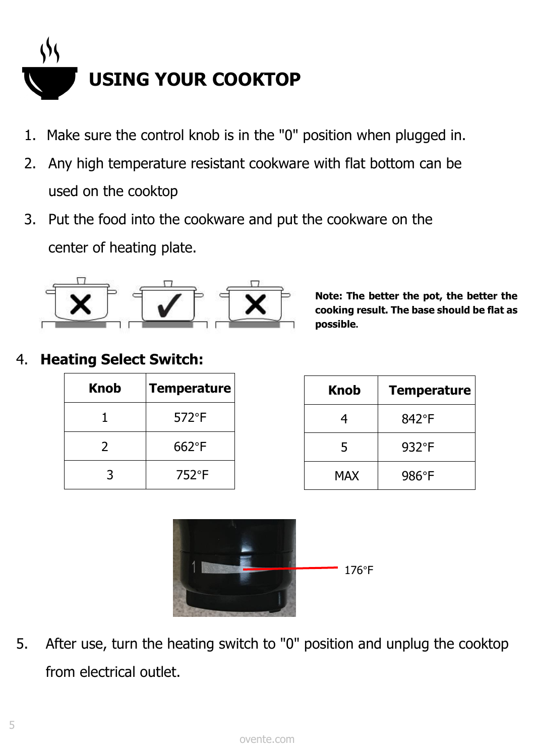

- 1. Make sure the control knob is in the "0" position when plugged in.
- 2. Any high temperature resistant cookware with flat bottom can be used on the cooktop
- 3. Put the food into the cookware and put the cookware on the center of heating plate.



**Note: The better the pot, the better the cooking result. The base should be flat as possible.**

### 4. **Heating Select Switch:**

| <b>Knob</b> | <b>Temperature</b> |
|-------------|--------------------|
|             | $572^{\circ}F$     |
| 2           | $662^{\circ}F$     |
| 3           | $752^{\circ}F$     |





5. After use, turn the heating switch to "0" position and unplug the cooktop from electrical outlet.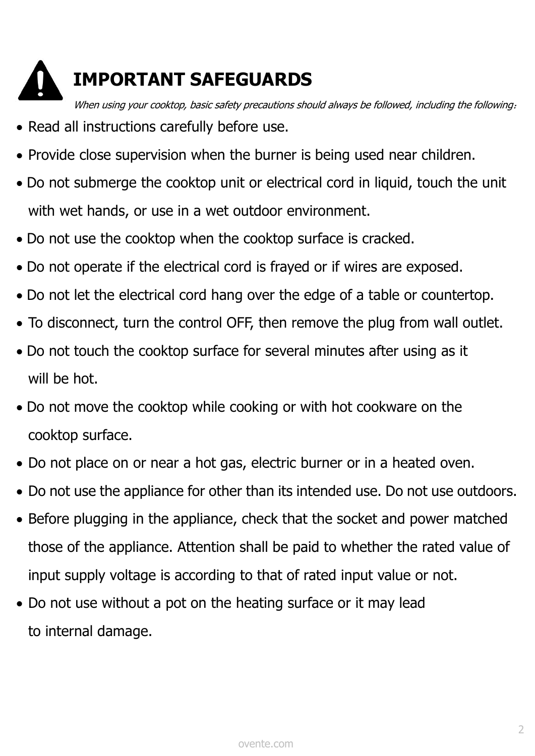

### **IMPORTANT SAFEGUARDS**

When using your cooktop, basic safety precautions should always be followed, including the following:

- Read all instructions carefully before use.
- Provide close supervision when the burner is being used near children.
- Do not submerge the cooktop unit or electrical cord in liquid, touch the unit with wet hands, or use in a wet outdoor environment.
- Do not use the cooktop when the cooktop surface is cracked.
- Do not operate if the electrical cord is frayed or if wires are exposed.
- Do not let the electrical cord hang over the edge of a table or countertop.
- To disconnect, turn the control OFF, then remove the plug from wall outlet.
- Do not touch the cooktop surface for several minutes after using as it will be hot.
- Do not move the cooktop while cooking or with hot cookware on the cooktop surface.
- Do not place on or near a hot gas, electric burner or in a heated oven.
- Do not use the appliance for other than its intended use. Do not use outdoors.
- Before plugging in the appliance, check that the socket and power matched those of the appliance. Attention shall be paid to whether the rated value of input supply voltage is according to that of rated input value or not.
- Do not use without a pot on the heating surface or it may lead to internal damage.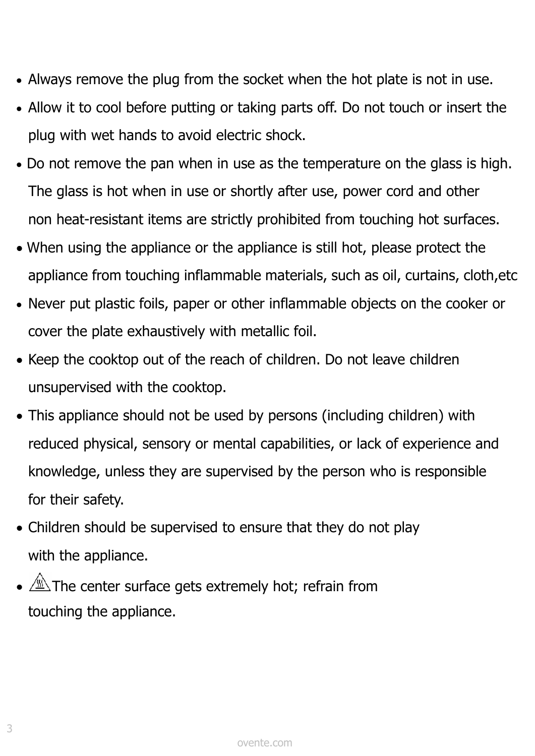- Always remove the plug from the socket when the hot plate is not in use.
- Allow it to cool before putting or taking parts off. Do not touch or insert the plug with wet hands to avoid electric shock.
- Do not remove the pan when in use as the temperature on the glass is high. The glass is hot when in use or shortly after use, power cord and other non heat-resistant items are strictly prohibited from touching hot surfaces.
- When using the appliance or the appliance is still hot, please protect the appliance from touching inflammable materials, such as oil, curtains, cloth,etc
- Never put plastic foils, paper or other inflammable objects on the cooker or cover the plate exhaustively with metallic foil.
- Keep the cooktop out of the reach of children. Do not leave children unsupervised with the cooktop.
- This appliance should not be used by persons (including children) with reduced physical, sensory or mental capabilities, or lack of experience and knowledge, unless they are supervised by the person who is responsible for their safety.
- Children should be supervised to ensure that they do not play with the appliance.
- $\bullet$   $\overline{\mathbb{A}}$ . The center surface gets extremely hot; refrain from touching the appliance.